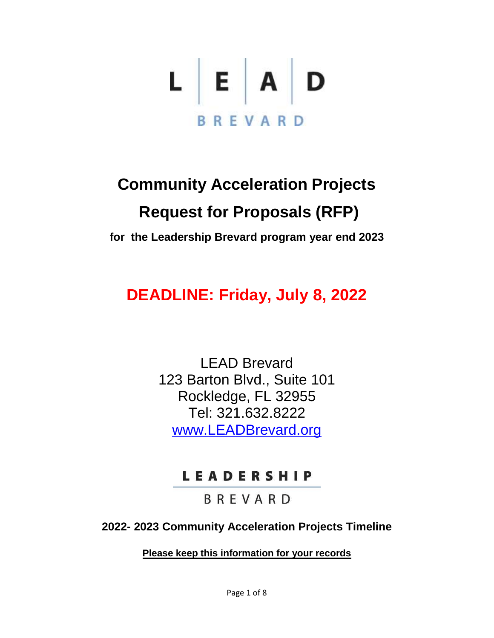

## **Community Acceleration Projects Request for Proposals (RFP)**

**for the Leadership Brevard program year end 2023**

## **DEADLINE: Friday, July 8, 2022**

LEAD Brevard 123 Barton Blvd., Suite 101 Rockledge, FL 32955 Tel: 321.632.8222 [www.LEADBrevard.org](http://www.leadbrevard.org/)

## LEADERSHIP

**BREVARD** 

**2022- 2023 Community Acceleration Projects Timeline**

**Please keep this information for your records**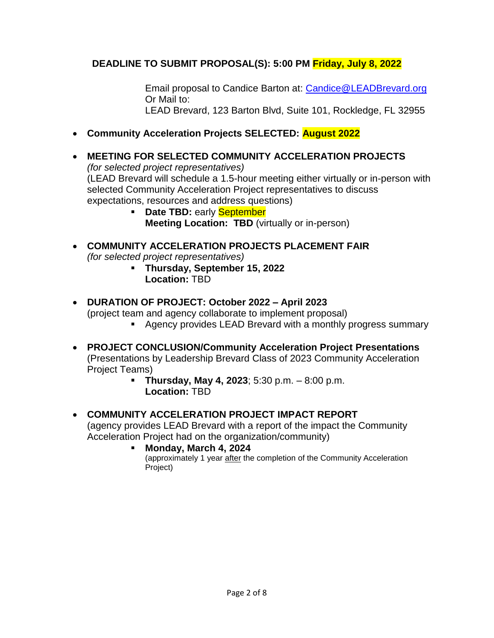## **DEADLINE TO SUBMIT PROPOSAL(S): 5:00 PM Friday, July 8, 2022**

Email proposal to Candice Barton at: [Candice@LEADBrevard.org](mailto:Candice@LEADBrevard.org) Or Mail to: LEAD Brevard, 123 Barton Blvd, Suite 101, Rockledge, FL 32955

- **Community Acceleration Projects SELECTED: August 2022**
- **MEETING FOR SELECTED COMMUNITY ACCELERATION PROJECTS** *(for selected project representatives)* (LEAD Brevard will schedule a 1.5-hour meeting either virtually or in-person with selected Community Acceleration Project representatives to discuss expectations, resources and address questions)
	- **Date TBD:** early **September Meeting Location: TBD** (virtually or in-person)

 **COMMUNITY ACCELERATION PROJECTS PLACEMENT FAIR** *(for selected project representatives)*

- **Thursday, September 15, 2022 Location:** TBD
- **DURATION OF PROJECT: October 2022 – April 2023** (project team and agency collaborate to implement proposal)
	- Agency provides LEAD Brevard with a monthly progress summary
- **PROJECT CONCLUSION/Community Acceleration Project Presentations**  (Presentations by Leadership Brevard Class of 2023 Community Acceleration Project Teams)
	- **Thursday, May 4, 2023**; 5:30 p.m. 8:00 p.m. **Location:** TBD

## **COMMUNITY ACCELERATION PROJECT IMPACT REPORT**

(agency provides LEAD Brevard with a report of the impact the Community Acceleration Project had on the organization/community)

**Monday, March 4, 2024**

(approximately 1 year after the completion of the Community Acceleration Project)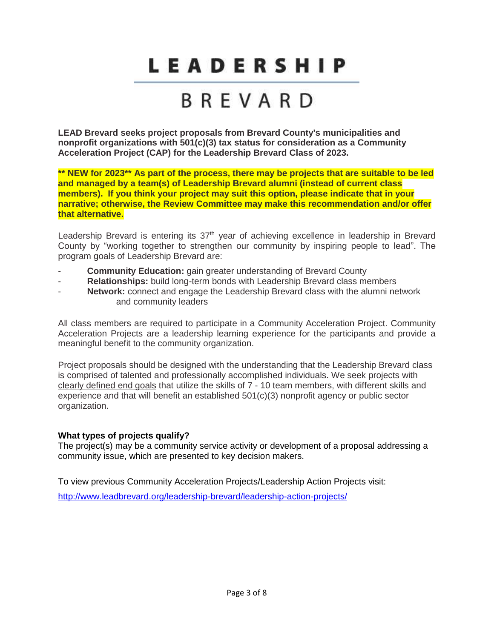# BREVARD

**LEAD Brevard seeks project proposals from Brevard County's municipalities and nonprofit organizations with 501(c)(3) tax status for consideration as a Community Acceleration Project (CAP) for the Leadership Brevard Class of 2023.** 

**\*\* NEW for 2023\*\* As part of the process, there may be projects that are suitable to be led and managed by a team(s) of Leadership Brevard alumni (instead of current class members). If you think your project may suit this option, please indicate that in your narrative; otherwise, the Review Committee may make this recommendation and/or offer that alternative.** 

Leadership Brevard is entering its 37<sup>th</sup> year of achieving excellence in leadership in Brevard County by "working together to strengthen our community by inspiring people to lead". The program goals of Leadership Brevard are:

- **Community Education:** gain greater understanding of Brevard County
- **Relationships:** build long-term bonds with Leadership Brevard class members
- **Network:** connect and engage the Leadership Brevard class with the alumni network and community leaders

All class members are required to participate in a Community Acceleration Project. Community Acceleration Projects are a leadership learning experience for the participants and provide a meaningful benefit to the community organization.

Project proposals should be designed with the understanding that the Leadership Brevard class is comprised of talented and professionally accomplished individuals. We seek projects with clearly defined end goals that utilize the skills of 7 - 10 team members, with different skills and experience and that will benefit an established 501(c)(3) nonprofit agency or public sector organization.

## **What types of projects qualify?**

The project(s) may be a community service activity or development of a proposal addressing a community issue, which are presented to key decision makers.

To view previous Community Acceleration Projects/Leadership Action Projects visit: <http://www.leadbrevard.org/leadership-brevard/leadership-action-projects/>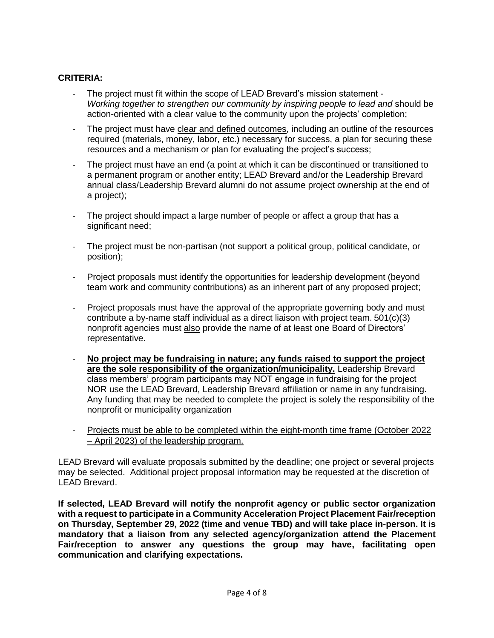## **CRITERIA:**

- The project must fit within the scope of LEAD Brevard's mission statement -*Working together to strengthen our community by inspiring people to lead and* should be action-oriented with a clear value to the community upon the projects' completion;
- The project must have clear and defined outcomes, including an outline of the resources required (materials, money, labor, etc.) necessary for success, a plan for securing these resources and a mechanism or plan for evaluating the project's success;
- The project must have an end (a point at which it can be discontinued or transitioned to a permanent program or another entity; LEAD Brevard and/or the Leadership Brevard annual class/Leadership Brevard alumni do not assume project ownership at the end of a project);
- The project should impact a large number of people or affect a group that has a significant need;
- The project must be non-partisan (not support a political group, political candidate, or position);
- Project proposals must identify the opportunities for leadership development (beyond team work and community contributions) as an inherent part of any proposed project;
- Project proposals must have the approval of the appropriate governing body and must contribute a by-name staff individual as a direct liaison with project team. 501(c)(3) nonprofit agencies must also provide the name of at least one Board of Directors' representative.
- **No project may be fundraising in nature; any funds raised to support the project are the sole responsibility of the organization/municipality.** Leadership Brevard class members' program participants may NOT engage in fundraising for the project NOR use the LEAD Brevard, Leadership Brevard affiliation or name in any fundraising. Any funding that may be needed to complete the project is solely the responsibility of the nonprofit or municipality organization
- Projects must be able to be completed within the eight-month time frame (October 2022 – April 2023) of the leadership program.

LEAD Brevard will evaluate proposals submitted by the deadline; one project or several projects may be selected. Additional project proposal information may be requested at the discretion of LEAD Brevard.

**If selected, LEAD Brevard will notify the nonprofit agency or public sector organization with a request to participate in a Community Acceleration Project Placement Fair/reception on Thursday, September 29, 2022 (time and venue TBD) and will take place in-person. It is mandatory that a liaison from any selected agency/organization attend the Placement Fair/reception to answer any questions the group may have, facilitating open communication and clarifying expectations.**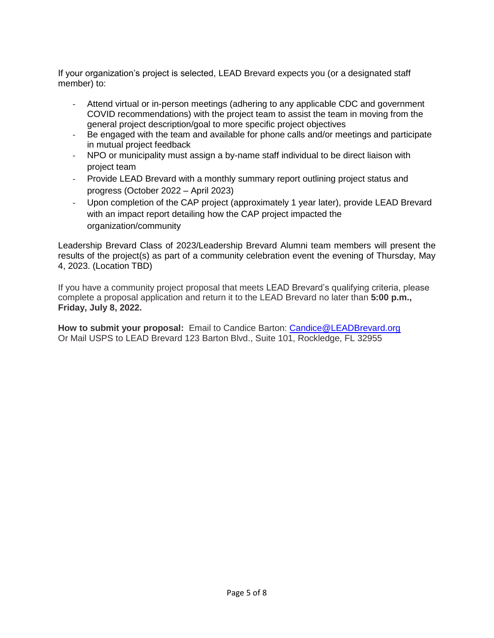If your organization's project is selected, LEAD Brevard expects you (or a designated staff member) to:

- Attend virtual or in-person meetings (adhering to any applicable CDC and government COVID recommendations) with the project team to assist the team in moving from the general project description/goal to more specific project objectives
- Be engaged with the team and available for phone calls and/or meetings and participate in mutual project feedback
- NPO or municipality must assign a by-name staff individual to be direct liaison with project team
- Provide LEAD Brevard with a monthly summary report outlining project status and progress (October 2022 – April 2023)
- Upon completion of the CAP project (approximately 1 year later), provide LEAD Brevard with an impact report detailing how the CAP project impacted the organization/community

Leadership Brevard Class of 2023/Leadership Brevard Alumni team members will present the results of the project(s) as part of a community celebration event the evening of Thursday, May 4, 2023. (Location TBD)

If you have a community project proposal that meets LEAD Brevard's qualifying criteria, please complete a proposal application and return it to the LEAD Brevard no later than **5:00 p.m., Friday, July 8, 2022.** 

**How to submit your proposal:** Email to Candice Barton: [Candice@LEADBrevard.org](mailto:Candice@LEADBrevard.org) Or Mail USPS to LEAD Brevard 123 Barton Blvd., Suite 101, Rockledge, FL 32955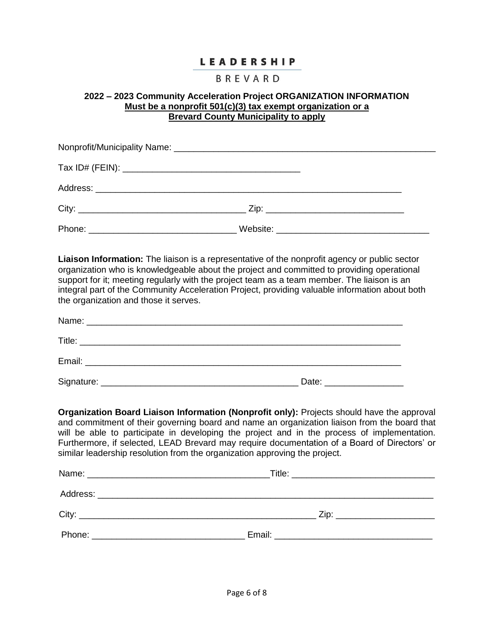### BREVARD

### **2022 – 2023 Community Acceleration Project ORGANIZATION INFORMATION Must be a nonprofit 501(c)(3) tax exempt organization or a Brevard County Municipality to apply**

**Liaison Information:** The liaison is a representative of the nonprofit agency or public sector organization who is knowledgeable about the project and committed to providing operational support for it; meeting regularly with the project team as a team member. The liaison is an integral part of the Community Acceleration Project, providing valuable information about both the organization and those it serves.

| Name:<br><u> 1980 - Jan Samuel Barbara, margaret ar brezhon eo ar brezhon en an den an den an den an den an den an den an</u>     |       |
|-----------------------------------------------------------------------------------------------------------------------------------|-------|
| Title:                                                                                                                            |       |
| Email:<br><u> 1989 - Jan Samuel Barbara, margaret e</u> n 1980 (h. 1919).<br>1900 - Johann Barbara, frantziar idazlear (h. 1919). |       |
| Signature:                                                                                                                        | Date: |

**Organization Board Liaison Information (Nonprofit only):** Projects should have the approval and commitment of their governing board and name an organization liaison from the board that will be able to participate in developing the project and in the process of implementation. Furthermore, if selected, LEAD Brevard may require documentation of a Board of Directors' or similar leadership resolution from the organization approving the project.

| Zip: __________________________ |
|---------------------------------|
|                                 |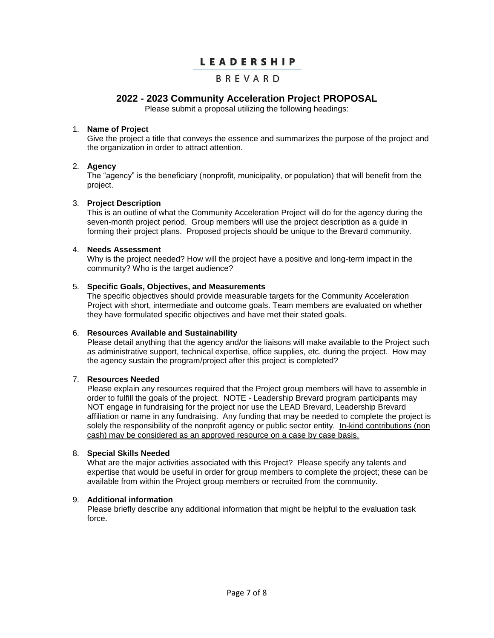## BREVARD

## **2022 - 2023 Community Acceleration Project PROPOSAL**

Please submit a proposal utilizing the following headings:

#### 1. **Name of Project**

Give the project a title that conveys the essence and summarizes the purpose of the project and the organization in order to attract attention.

#### 2. **Agency**

The "agency" is the beneficiary (nonprofit, municipality, or population) that will benefit from the project.

#### 3. **Project Description**

This is an outline of what the Community Acceleration Project will do for the agency during the seven-month project period. Group members will use the project description as a guide in forming their project plans. Proposed projects should be unique to the Brevard community.

#### 4. **Needs Assessment**

Why is the project needed? How will the project have a positive and long-term impact in the community? Who is the target audience?

#### 5. **Specific Goals, Objectives, and Measurements**

The specific objectives should provide measurable targets for the Community Acceleration Project with short, intermediate and outcome goals. Team members are evaluated on whether they have formulated specific objectives and have met their stated goals.

#### 6. **Resources Available and Sustainability**

Please detail anything that the agency and/or the liaisons will make available to the Project such as administrative support, technical expertise, office supplies, etc. during the project. How may the agency sustain the program/project after this project is completed?

#### 7. **Resources Needed**

Please explain any resources required that the Project group members will have to assemble in order to fulfill the goals of the project. NOTE - Leadership Brevard program participants may NOT engage in fundraising for the project nor use the LEAD Brevard, Leadership Brevard affiliation or name in any fundraising. Any funding that may be needed to complete the project is solely the responsibility of the nonprofit agency or public sector entity. In-kind contributions (non cash) may be considered as an approved resource on a case by case basis.

#### 8. **Special Skills Needed**

What are the major activities associated with this Project? Please specify any talents and expertise that would be useful in order for group members to complete the project; these can be available from within the Project group members or recruited from the community.

#### 9. **Additional information**

Please briefly describe any additional information that might be helpful to the evaluation task force.